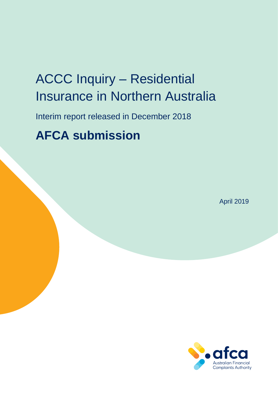# ACCC Inquiry – Residential Insurance in Northern Australia

Interim report released in December 2018

# **AFCA submission**

April 2019

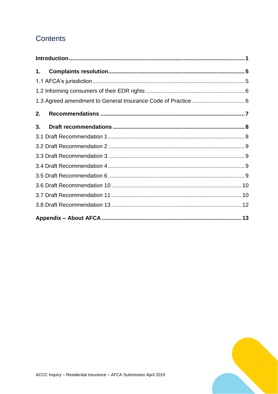# **Contents**

| 1. |  |
|----|--|
|    |  |
|    |  |
|    |  |
| 2. |  |
| 3. |  |
|    |  |
|    |  |
|    |  |
|    |  |
|    |  |
|    |  |
|    |  |
|    |  |
|    |  |

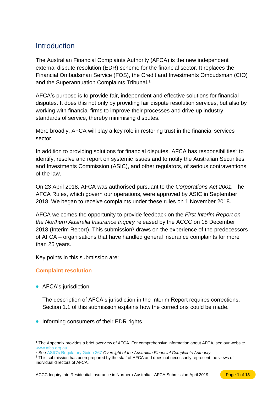## <span id="page-2-0"></span>Introduction

The Australian Financial Complaints Authority (AFCA) is the new independent external dispute resolution (EDR) scheme for the financial sector. It replaces the Financial Ombudsman Service (FOS), the Credit and Investments Ombudsman (CIO) and the Superannuation Complaints Tribunal.<sup>1</sup>

AFCA's purpose is to provide fair, independent and effective solutions for financial disputes. It does this not only by providing fair dispute resolution services, but also by working with financial firms to improve their processes and drive up industry standards of service, thereby minimising disputes.

More broadly, AFCA will play a key role in restoring trust in the financial services sector.

In addition to providing solutions for financial disputes, AFCA has responsibilities<sup>2</sup> to identify, resolve and report on systemic issues and to notify the Australian Securities and Investments Commission (ASIC), and other regulators, of serious contraventions of the law.

On 23 April 2018, AFCA was authorised pursuant to the *Corporations Act 2001.* The AFCA Rules, which govern our operations, were approved by ASIC in September 2018. We began to receive complaints under these rules on 1 November 2018.

AFCA welcomes the opportunity to provide feedback on the *First Interim Report on the Northern Australia Insurance Inquiry* released by the ACCC on 18 December 2018 (Interim Report). This submission<sup>3</sup> draws on the experience of the predecessors of AFCA – organisations that have handled general insurance complaints for more than 25 years.

Key points in this submission are:

## **Complaint resolution**

• AFCA's jurisdiction

The description of AFCA's jurisdiction in the Interim Report requires corrections. Section 1.1 of this submission explains how the corrections could be made.

• Informing consumers of their EDR rights

 $\overline{a}$ <sup>1</sup> The Appendix provides a brief overview of AFCA. For comprehensive information about AFCA, see our website [www.afca.org.au.](http://www.afca.org.au/)

<sup>&</sup>lt;sup>2</sup> See [ASIC's Regulatory Guide 267](https://download.asic.gov.au/media/4773579/rg267-published-20-june-2018.pdf) Oversight of the Australian Financial Complaints Authority.

<sup>&</sup>lt;sup>3</sup> This submission has been prepared by the staff of AFCA and does not necessarily represent the views of individual directors of AFCA.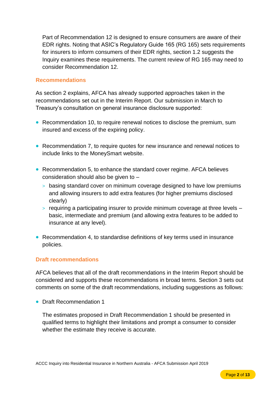Part of Recommendation 12 is designed to ensure consumers are aware of their EDR rights. Noting that ASIC's Regulatory Guide 165 (RG 165) sets requirements for insurers to inform consumers of their EDR rights, section 1.2 suggests the Inquiry examines these requirements. The current review of RG 165 may need to consider Recommendation 12.

## **Recommendations**

As section 2 explains, AFCA has already supported approaches taken in the recommendations set out in the Interim Report. Our submission in March to Treasury's consultation on general insurance disclosure supported:

- Recommendation 10, to require renewal notices to disclose the premium, sum insured and excess of the expiring policy.
- Recommendation 7, to require quotes for new insurance and renewal notices to include links to the MoneySmart website.
- Recommendation 5, to enhance the standard cover regime. AFCA believes consideration should also be given to –
	- > basing standard cover on minimum coverage designed to have low premiums and allowing insurers to add extra features (for higher premiums disclosed clearly)
	- > requiring a participating insurer to provide minimum coverage at three levels basic, intermediate and premium (and allowing extra features to be added to insurance at any level).
- Recommendation 4, to standardise definitions of key terms used in insurance policies.

## **Draft recommendations**

AFCA believes that all of the draft recommendations in the Interim Report should be considered and supports these recommendations in broad terms. Section 3 sets out comments on some of the draft recommendations, including suggestions as follows:

• Draft Recommendation 1

The estimates proposed in Draft Recommendation 1 should be presented in qualified terms to highlight their limitations and prompt a consumer to consider whether the estimate they receive is accurate.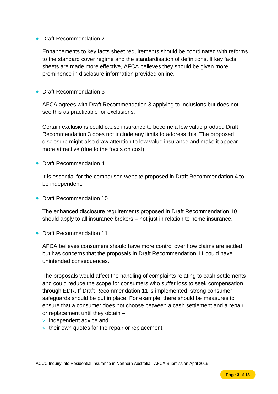## • Draft Recommendation 2

Enhancements to key facts sheet requirements should be coordinated with reforms to the standard cover regime and the standardisation of definitions. If key facts sheets are made more effective, AFCA believes they should be given more prominence in disclosure information provided online.

• Draft Recommendation 3

AFCA agrees with Draft Recommendation 3 applying to inclusions but does not see this as practicable for exclusions.

Certain exclusions could cause insurance to become a low value product. Draft Recommendation 3 does not include any limits to address this. The proposed disclosure might also draw attention to low value insurance and make it appear more attractive (due to the focus on cost).

• Draft Recommendation 4

It is essential for the comparison website proposed in Draft Recommendation 4 to be independent.

• Draft Recommendation 10

The enhanced disclosure requirements proposed in Draft Recommendation 10 should apply to all insurance brokers – not just in relation to home insurance.

• Draft Recommendation 11

AFCA believes consumers should have more control over how claims are settled but has concerns that the proposals in Draft Recommendation 11 could have unintended consequences.

The proposals would affect the handling of complaints relating to cash settlements and could reduce the scope for consumers who suffer loss to seek compensation through EDR. If Draft Recommendation 11 is implemented, strong consumer safeguards should be put in place. For example, there should be measures to ensure that a consumer does not choose between a cash settlement and a repair or replacement until they obtain –

- > independent advice and
- > their own quotes for the repair or replacement.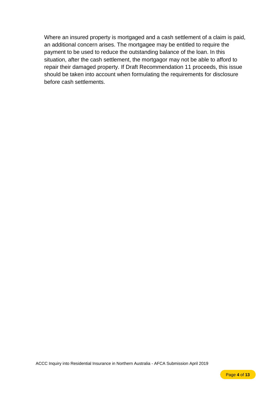Where an insured property is mortgaged and a cash settlement of a claim is paid, an additional concern arises. The mortgagee may be entitled to require the payment to be used to reduce the outstanding balance of the loan. In this situation, after the cash settlement, the mortgagor may not be able to afford to repair their damaged property. If Draft Recommendation 11 proceeds, this issue should be taken into account when formulating the requirements for disclosure before cash settlements.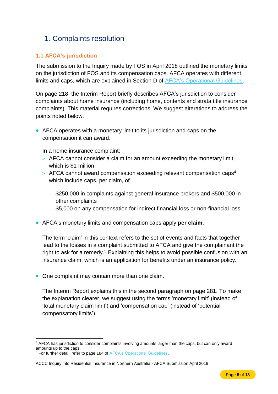# <span id="page-6-0"></span>1. Complaints resolution

## <span id="page-6-1"></span>**1.1 AFCA's jurisdiction**

The submission to the Inquiry made by FOS in April 2018 outlined the monetary limits on the jurisdiction of FOS and its compensation caps. AFCA operates with different limits and caps, which are explained in Section D of [AFCA's Operational Guidelines.](https://www.afca.org.au/about-afca/rules-and-guidelines/afcas-operational-guidelines/)

On page 218, the Interim Report briefly describes AFCA's jurisdiction to consider complaints about home insurance (including home, contents and strata title insurance complaints). This material requires corrections. We suggest alterations to address the points noted below.

• AFCA operates with a monetary limit to its jurisdiction and caps on the compensation it can award.

In a home insurance complaint:

- > AFCA cannot consider a claim for an amount exceeding the monetary limit, which is \$1 million
- > AFCA cannot award compensation exceeding relevant compensation caps<sup>4</sup> which include caps, per claim, of
	- ‒ \$250,000 in complaints against general insurance brokers and \$500,000 in other complaints
	- \$5,000 on any compensation for indirect financial loss or non-financial loss.
- AFCA's monetary limits and compensation caps apply **per claim**.

The term 'claim' in this context refers to the set of events and facts that together lead to the losses in a complaint submitted to AFCA and give the complainant the right to ask for a remedy.<sup>5</sup> Explaining this helps to avoid possible confusion with an insurance claim, which is an application for benefits under an insurance policy.

• One complaint may contain more than one claim.

The Interim Report explains this in the second paragraph on page 281. To make the explanation clearer, we suggest using the terms 'monetary limit' (instead of 'total monetary claim limit') and 'compensation cap' (instead of 'potential compensatory limits').

 $\overline{a}$ <sup>4</sup> AFCA has jurisdiction to consider complaints involving amounts larger than the caps, but can only award amounts up to the caps.

<sup>&</sup>lt;sup>5</sup> For further detail, refer to page 184 of **AFCA's Operational Guidelines**.

ACCC Inquiry into Residential Insurance in Northern Australia - AFCA Submission April 2019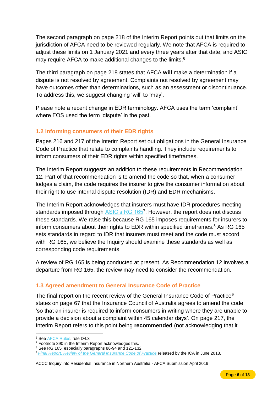The second paragraph on page 218 of the Interim Report points out that limits on the jurisdiction of AFCA need to be reviewed regularly. We note that AFCA is required to adjust these limits on 1 January 2021 and every three years after that date, and ASIC may require AFCA to make additional changes to the limits.<sup>6</sup>

The third paragraph on page 218 states that AFCA **will** make a determination if a dispute is not resolved by agreement. Complaints not resolved by agreement may have outcomes other than determinations, such as an assessment or discontinuance. To address this, we suggest changing 'will' to 'may'.

Please note a recent change in EDR terminology. AFCA uses the term 'complaint' where FOS used the term 'dispute' in the past.

## <span id="page-7-0"></span>**1.2 Informing consumers of their EDR rights**

Pages 216 and 217 of the Interim Report set out obligations in the General Insurance Code of Practice that relate to complaints handling. They include requirements to inform consumers of their EDR rights within specified timeframes.

The Interim Report suggests an addition to these requirements in Recommendation 12. Part of that recommendation is to amend the code so that, when a consumer lodges a claim, the code requires the insurer to give the consumer information about their right to use internal dispute resolution (IDR) and EDR mechanisms.

The Interim Report acknowledges that insurers must have IDR procedures meeting standards imposed through **ASIC's RG 165<sup>7</sup>. However, the report does not discuss** these standards. We raise this because RG 165 imposes requirements for insurers to inform consumers about their rights to EDR within specified timeframes.<sup>8</sup> As RG 165 sets standards in regard to IDR that insurers must meet and the code must accord with RG 165, we believe the Inquiry should examine these standards as well as corresponding code requirements.

A review of RG 165 is being conducted at present. As Recommendation 12 involves a departure from RG 165, the review may need to consider the recommendation.

## <span id="page-7-1"></span>**1.3 Agreed amendment to General Insurance Code of Practice**

The final report on the recent review of the General Insurance Code of Practice<sup>9</sup> states on page 67 that the Insurance Council of Australia agrees to amend the code 'so that an insurer is required to inform consumers in writing where they are unable to provide a decision about a complaint within 45 calendar days'. On page 217, the Interim Report refers to this point being **recommended** (not acknowledging that it

 $\overline{a}$ 

<sup>6</sup> See [AFCA Rules,](https://www.afca.org.au/about-afca/rules-and-guidelines/rules/) rule D4.3

<sup>&</sup>lt;sup>7</sup> Footnote 390 in the Interim Report acknowledges this.

<sup>8</sup> See RG 165, especially paragraphs 86-94 and 121-132.

<sup>9</sup> *[Final Report, Review of the General Insurance Code of Practice](http://codeofpracticereview.com.au/assets/Final%20Report/250618_ICA%20Code%20Review_Final%20Report.pdf)* released by the ICA in June 2018.

ACCC Inquiry into Residential Insurance in Northern Australia - AFCA Submission April 2019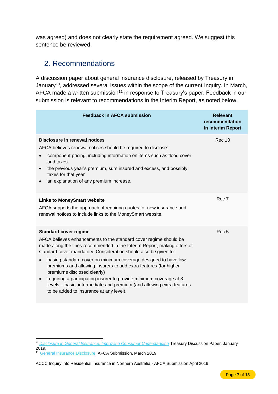was agreed) and does not clearly state the requirement agreed. We suggest this sentence be reviewed.

## <span id="page-8-0"></span>2. Recommendations

A discussion paper about general insurance disclosure, released by Treasury in January<sup>10</sup>, addressed several issues within the scope of the current Inquiry. In March, AFCA made a written submission<sup>11</sup> in response to Treasury's paper. Feedback in our submission is relevant to recommendations in the Interim Report, as noted below.

| <b>Feedback in AFCA submission</b>                                                                                                                                                                                                                                                                                                                                                                                                                                                                                                                                                                                                         | <b>Relevant</b><br>recommendation<br>in Interim Report |
|--------------------------------------------------------------------------------------------------------------------------------------------------------------------------------------------------------------------------------------------------------------------------------------------------------------------------------------------------------------------------------------------------------------------------------------------------------------------------------------------------------------------------------------------------------------------------------------------------------------------------------------------|--------------------------------------------------------|
| Disclosure in renewal notices<br>AFCA believes renewal notices should be required to disclose:<br>component pricing, including information on items such as flood cover<br>and taxes<br>the previous year's premium, sum insured and excess, and possibly<br>taxes for that year<br>an explanation of any premium increase.                                                                                                                                                                                                                                                                                                                | <b>Rec 10</b>                                          |
| <b>Links to MoneySmart website</b><br>AFCA supports the approach of requiring quotes for new insurance and<br>renewal notices to include links to the MoneySmart website.                                                                                                                                                                                                                                                                                                                                                                                                                                                                  | Rec 7                                                  |
| <b>Standard cover regime</b><br>AFCA believes enhancements to the standard cover regime should be<br>made along the lines recommended in the Interim Report, making offers of<br>standard cover mandatory. Consideration should also be given to:<br>basing standard cover on minimum coverage designed to have low<br>$\bullet$<br>premiums and allowing insurers to add extra features (for higher<br>premiums disclosed clearly)<br>requiring a participating insurer to provide minimum coverage at 3<br>$\bullet$<br>levels - basic, intermediate and premium (and allowing extra features<br>to be added to insurance at any level). | Rec <sub>5</sub>                                       |

<sup>11</sup> [General Insurance Disclosure,](file://///corefile/FOStaxonomy/Team%20Operations/PPA/Policy/Submissions/Treasury/GI%20disclosure%20Feb19/GI%20Disc%20Mar19.pdf) AFCA Submission, March 2019.

 $\overline{a}$ 

ACCC Inquiry into Residential Insurance in Northern Australia - AFCA Submission April 2019

<sup>10</sup> *[Disclosure in General Insurance: Improving Consumer Understanding](https://treasury.gov.au/consultation/c2019-t354736)* Treasury Discussion Paper, January 2019.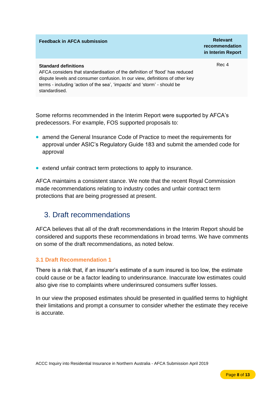**recommendation in Interim Report**

Rec 4

## **Standard definitions**

AFCA considers that standardisation of the definition of 'flood' has reduced dispute levels and consumer confusion. In our view, definitions of other key terms - including 'action of the sea', 'impacts' and 'storm' - should be standardised.

Some reforms recommended in the Interim Report were supported by AFCA's predecessors. For example, FOS supported proposals to:

- amend the General Insurance Code of Practice to meet the requirements for approval under ASIC's Regulatory Guide 183 and submit the amended code for approval
- extend unfair contract term protections to apply to insurance.

AFCA maintains a consistent stance. We note that the recent Royal Commission made recommendations relating to industry codes and unfair contract term protections that are being progressed at present.

## <span id="page-9-0"></span>3. Draft recommendations

AFCA believes that all of the draft recommendations in the Interim Report should be considered and supports these recommendations in broad terms. We have comments on some of the draft recommendations, as noted below.

## <span id="page-9-1"></span>**3.1 Draft Recommendation 1**

There is a risk that, if an insurer's estimate of a sum insured is too low, the estimate could cause or be a factor leading to underinsurance. Inaccurate low estimates could also give rise to complaints where underinsured consumers suffer losses.

In our view the proposed estimates should be presented in qualified terms to highlight their limitations and prompt a consumer to consider whether the estimate they receive is accurate.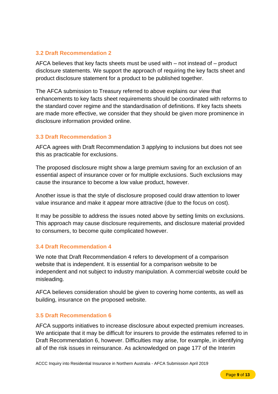## <span id="page-10-0"></span>**3.2 Draft Recommendation 2**

AFCA believes that key facts sheets must be used with – not instead of – product disclosure statements. We support the approach of requiring the key facts sheet and product disclosure statement for a product to be published together.

The AFCA submission to Treasury referred to above explains our view that enhancements to key facts sheet requirements should be coordinated with reforms to the standard cover regime and the standardisation of definitions. If key facts sheets are made more effective, we consider that they should be given more prominence in disclosure information provided online.

## <span id="page-10-1"></span>**3.3 Draft Recommendation 3**

AFCA agrees with Draft Recommendation 3 applying to inclusions but does not see this as practicable for exclusions.

The proposed disclosure might show a large premium saving for an exclusion of an essential aspect of insurance cover or for multiple exclusions. Such exclusions may cause the insurance to become a low value product, however.

Another issue is that the style of disclosure proposed could draw attention to lower value insurance and make it appear more attractive (due to the focus on cost).

It may be possible to address the issues noted above by setting limits on exclusions. This approach may cause disclosure requirements, and disclosure material provided to consumers, to become quite complicated however.

## <span id="page-10-2"></span>**3.4 Draft Recommendation 4**

We note that Draft Recommendation 4 refers to development of a comparison website that is independent. It is essential for a comparison website to be independent and not subject to industry manipulation. A commercial website could be misleading.

AFCA believes consideration should be given to covering home contents, as well as building, insurance on the proposed website.

## <span id="page-10-3"></span>**3.5 Draft Recommendation 6**

AFCA supports initiatives to increase disclosure about expected premium increases. We anticipate that it may be difficult for insurers to provide the estimates referred to in Draft Recommendation 6, however. Difficulties may arise, for example, in identifying all of the risk issues in reinsurance. As acknowledged on page 177 of the Interim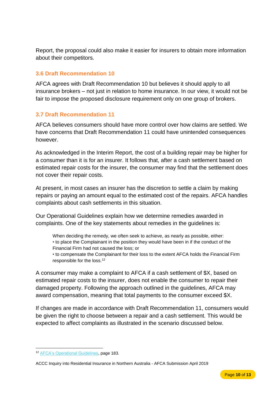Report, the proposal could also make it easier for insurers to obtain more information about their competitors.

## <span id="page-11-0"></span>**3.6 Draft Recommendation 10**

AFCA agrees with Draft Recommendation 10 but believes it should apply to all insurance brokers – not just in relation to home insurance. In our view, it would not be fair to impose the proposed disclosure requirement only on one group of brokers.

## <span id="page-11-1"></span>**3.7 Draft Recommendation 11**

AFCA believes consumers should have more control over how claims are settled. We have concerns that Draft Recommendation 11 could have unintended consequences however.

As acknowledged in the Interim Report, the cost of a building repair may be higher for a consumer than it is for an insurer. It follows that, after a cash settlement based on estimated repair costs for the insurer, the consumer may find that the settlement does not cover their repair costs.

At present, in most cases an insurer has the discretion to settle a claim by making repairs or paying an amount equal to the estimated cost of the repairs. AFCA handles complaints about cash settlements in this situation.

Our Operational Guidelines explain how we determine remedies awarded in complaints. One of the key statements about remedies in the guidelines is:

When deciding the remedy, we often seek to achieve, as nearly as possible, either: • to place the Complainant in the position they would have been in if the conduct of the Financial Firm had not caused the loss; or

• to compensate the Complainant for their loss to the extent AFCA holds the Financial Firm responsible for the loss.<sup>12</sup>

A consumer may make a complaint to AFCA if a cash settlement of \$X, based on estimated repair costs to the insurer, does not enable the consumer to repair their damaged property. Following the approach outlined in the guidelines, AFCA may award compensation, meaning that total payments to the consumer exceed \$X.

If changes are made in accordance with Draft Recommendation 11, consumers would be given the right to choose between a repair and a cash settlement. This would be expected to affect complaints as illustrated in the scenario discussed below.

 $\overline{a}$ <sup>12</sup> [AFCA's Operational Guidelines,](https://www.afca.org.au/about-afca/rules-and-guidelines/afcas-operational-guidelines/) page 183.

ACCC Inquiry into Residential Insurance in Northern Australia - AFCA Submission April 2019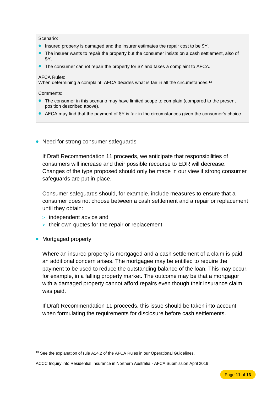#### Scenario:

- Insured property is damaged and the insurer estimates the repair cost to be \$Y.
- The insurer wants to repair the property but the consumer insists on a cash settlement, also of \$Y.
- The consumer cannot repair the property for \$Y and takes a complaint to AFCA.

### AFCA Rules:

When determining a complaint, AFCA decides what is fair in all the circumstances.<sup>13</sup>

### Comments:

- The consumer in this scenario may have limited scope to complain (compared to the present position described above).
- AFCA may find that the payment of \$Y is fair in the circumstances given the consumer's choice.
- Need for strong consumer safeguards

If Draft Recommendation 11 proceeds, we anticipate that responsibilities of consumers will increase and their possible recourse to EDR will decrease. Changes of the type proposed should only be made in our view if strong consumer safeguards are put in place.

Consumer safeguards should, for example, include measures to ensure that a consumer does not choose between a cash settlement and a repair or replacement until they obtain:

- > independent advice and
- > their own quotes for the repair or replacement.
- Mortgaged property

Where an insured property is mortgaged and a cash settlement of a claim is paid, an additional concern arises. The mortgagee may be entitled to require the payment to be used to reduce the outstanding balance of the loan. This may occur, for example, in a falling property market. The outcome may be that a mortgagor with a damaged property cannot afford repairs even though their insurance claim was paid.

If Draft Recommendation 11 proceeds, this issue should be taken into account when formulating the requirements for disclosure before cash settlements.

 $\overline{a}$ <sup>13</sup> See the explanation of rule A14.2 of the AFCA Rules in our Operational Guidelines.

ACCC Inquiry into Residential Insurance in Northern Australia - AFCA Submission April 2019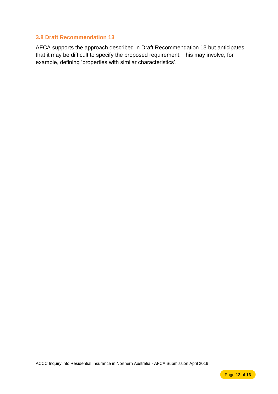## <span id="page-13-0"></span>**3.8 Draft Recommendation 13**

AFCA supports the approach described in Draft Recommendation 13 but anticipates that it may be difficult to specify the proposed requirement. This may involve, for example, defining 'properties with similar characteristics'.